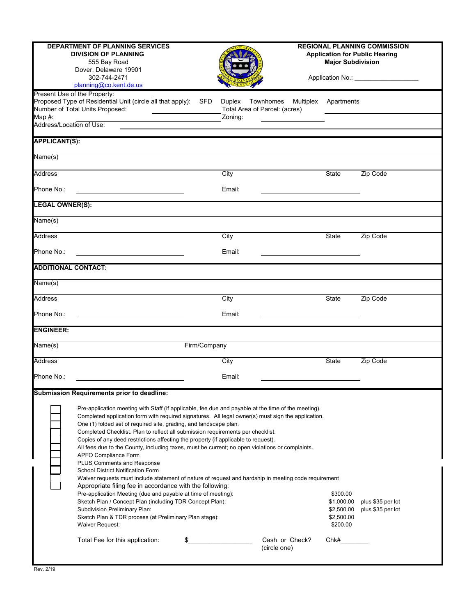| <b>DEPARTMENT OF PLANNING SERVICES</b><br><b>DIVISION OF PLANNING</b><br>555 Bay Road<br>Dover, Delaware 19901<br>302-744-2471<br>planning@co.kent.de.us<br>Present Use of the Property: |                                                                                                                                                                                                                                                                                                                                                                                                                                                                                                                                                                                                                                                                                                                                                                                                                                                                                                                                                                                                                                                                                                                                                                                                                                                            |              | <b>REGIONAL PLANNING COMMISSION</b><br><b>Application for Public Hearing</b><br><b>Major Subdivision</b><br>Application No.: ____________________ |                                                                                 |            |          |  |  |
|------------------------------------------------------------------------------------------------------------------------------------------------------------------------------------------|------------------------------------------------------------------------------------------------------------------------------------------------------------------------------------------------------------------------------------------------------------------------------------------------------------------------------------------------------------------------------------------------------------------------------------------------------------------------------------------------------------------------------------------------------------------------------------------------------------------------------------------------------------------------------------------------------------------------------------------------------------------------------------------------------------------------------------------------------------------------------------------------------------------------------------------------------------------------------------------------------------------------------------------------------------------------------------------------------------------------------------------------------------------------------------------------------------------------------------------------------------|--------------|---------------------------------------------------------------------------------------------------------------------------------------------------|---------------------------------------------------------------------------------|------------|----------|--|--|
|                                                                                                                                                                                          | Proposed Type of Residential Unit (circle all that apply):<br>Number of Total Units Proposed:                                                                                                                                                                                                                                                                                                                                                                                                                                                                                                                                                                                                                                                                                                                                                                                                                                                                                                                                                                                                                                                                                                                                                              | SFD          | Townhomes<br>Duplex<br>Total Area of Parcel: (acres)                                                                                              | Multiplex                                                                       | Apartments |          |  |  |
| Map #:<br>Address/Location of Use:                                                                                                                                                       |                                                                                                                                                                                                                                                                                                                                                                                                                                                                                                                                                                                                                                                                                                                                                                                                                                                                                                                                                                                                                                                                                                                                                                                                                                                            |              | Zoning:                                                                                                                                           |                                                                                 |            |          |  |  |
| <b>APPLICANT(S):</b>                                                                                                                                                                     |                                                                                                                                                                                                                                                                                                                                                                                                                                                                                                                                                                                                                                                                                                                                                                                                                                                                                                                                                                                                                                                                                                                                                                                                                                                            |              |                                                                                                                                                   |                                                                                 |            |          |  |  |
|                                                                                                                                                                                          |                                                                                                                                                                                                                                                                                                                                                                                                                                                                                                                                                                                                                                                                                                                                                                                                                                                                                                                                                                                                                                                                                                                                                                                                                                                            |              |                                                                                                                                                   |                                                                                 |            |          |  |  |
| Name(s)                                                                                                                                                                                  |                                                                                                                                                                                                                                                                                                                                                                                                                                                                                                                                                                                                                                                                                                                                                                                                                                                                                                                                                                                                                                                                                                                                                                                                                                                            |              |                                                                                                                                                   |                                                                                 |            |          |  |  |
| <b>Address</b>                                                                                                                                                                           |                                                                                                                                                                                                                                                                                                                                                                                                                                                                                                                                                                                                                                                                                                                                                                                                                                                                                                                                                                                                                                                                                                                                                                                                                                                            |              | City                                                                                                                                              |                                                                                 | State      | Zip Code |  |  |
| Phone No.:                                                                                                                                                                               | <u> 1989 - Johann Barn, amerikansk politiker (</u>                                                                                                                                                                                                                                                                                                                                                                                                                                                                                                                                                                                                                                                                                                                                                                                                                                                                                                                                                                                                                                                                                                                                                                                                         |              | Email:                                                                                                                                            | the contract of the contract of the contract of the contract of the contract of |            |          |  |  |
| <b>LEGAL OWNER(S):</b>                                                                                                                                                                   |                                                                                                                                                                                                                                                                                                                                                                                                                                                                                                                                                                                                                                                                                                                                                                                                                                                                                                                                                                                                                                                                                                                                                                                                                                                            |              |                                                                                                                                                   |                                                                                 |            |          |  |  |
| Name(s)                                                                                                                                                                                  |                                                                                                                                                                                                                                                                                                                                                                                                                                                                                                                                                                                                                                                                                                                                                                                                                                                                                                                                                                                                                                                                                                                                                                                                                                                            |              |                                                                                                                                                   |                                                                                 |            |          |  |  |
| <b>Address</b>                                                                                                                                                                           |                                                                                                                                                                                                                                                                                                                                                                                                                                                                                                                                                                                                                                                                                                                                                                                                                                                                                                                                                                                                                                                                                                                                                                                                                                                            |              | City                                                                                                                                              |                                                                                 | State      | Zip Code |  |  |
| Phone No.:                                                                                                                                                                               |                                                                                                                                                                                                                                                                                                                                                                                                                                                                                                                                                                                                                                                                                                                                                                                                                                                                                                                                                                                                                                                                                                                                                                                                                                                            |              | Email:                                                                                                                                            |                                                                                 |            |          |  |  |
| <b>ADDITIONAL CONTACT:</b>                                                                                                                                                               |                                                                                                                                                                                                                                                                                                                                                                                                                                                                                                                                                                                                                                                                                                                                                                                                                                                                                                                                                                                                                                                                                                                                                                                                                                                            |              |                                                                                                                                                   |                                                                                 |            |          |  |  |
| Name(s)                                                                                                                                                                                  |                                                                                                                                                                                                                                                                                                                                                                                                                                                                                                                                                                                                                                                                                                                                                                                                                                                                                                                                                                                                                                                                                                                                                                                                                                                            |              |                                                                                                                                                   |                                                                                 |            |          |  |  |
| <b>Address</b>                                                                                                                                                                           |                                                                                                                                                                                                                                                                                                                                                                                                                                                                                                                                                                                                                                                                                                                                                                                                                                                                                                                                                                                                                                                                                                                                                                                                                                                            |              | City                                                                                                                                              |                                                                                 | State      | Zip Code |  |  |
| Phone No.:                                                                                                                                                                               |                                                                                                                                                                                                                                                                                                                                                                                                                                                                                                                                                                                                                                                                                                                                                                                                                                                                                                                                                                                                                                                                                                                                                                                                                                                            |              | Email:                                                                                                                                            |                                                                                 |            |          |  |  |
| <b>ENGINEER:</b>                                                                                                                                                                         |                                                                                                                                                                                                                                                                                                                                                                                                                                                                                                                                                                                                                                                                                                                                                                                                                                                                                                                                                                                                                                                                                                                                                                                                                                                            |              |                                                                                                                                                   |                                                                                 |            |          |  |  |
| Name(s)                                                                                                                                                                                  |                                                                                                                                                                                                                                                                                                                                                                                                                                                                                                                                                                                                                                                                                                                                                                                                                                                                                                                                                                                                                                                                                                                                                                                                                                                            | Firm/Company |                                                                                                                                                   |                                                                                 |            |          |  |  |
| <b>Address</b>                                                                                                                                                                           |                                                                                                                                                                                                                                                                                                                                                                                                                                                                                                                                                                                                                                                                                                                                                                                                                                                                                                                                                                                                                                                                                                                                                                                                                                                            |              | City                                                                                                                                              |                                                                                 | State      | Zip Code |  |  |
| Phone No.:                                                                                                                                                                               |                                                                                                                                                                                                                                                                                                                                                                                                                                                                                                                                                                                                                                                                                                                                                                                                                                                                                                                                                                                                                                                                                                                                                                                                                                                            |              | Email:                                                                                                                                            |                                                                                 |            |          |  |  |
|                                                                                                                                                                                          | Submission Requirements prior to deadline:                                                                                                                                                                                                                                                                                                                                                                                                                                                                                                                                                                                                                                                                                                                                                                                                                                                                                                                                                                                                                                                                                                                                                                                                                 |              |                                                                                                                                                   |                                                                                 |            |          |  |  |
|                                                                                                                                                                                          | Pre-application meeting with Staff (If applicable, fee due and payable at the time of the meeting).<br>Completed application form with required signatures. All legal owner(s) must sign the application.<br>One (1) folded set of required site, grading, and landscape plan.<br>Completed Checklist. Plan to reflect all submission requirements per checklist.<br>Copies of any deed restrictions affecting the property (if applicable to request).<br>All fees due to the County, including taxes, must be current; no open violations or complaints.<br>APFO Compliance Form<br>PLUS Comments and Response<br>School District Notification Form<br>Waiver requests must include statement of nature of request and hardship in meeting code requirement<br>Appropriate filing fee in accordance with the following:<br>Pre-application Meeting (due and payable at time of meeting):<br>\$300.00<br>Sketch Plan / Concept Plan (including TDR Concept Plan):<br>plus \$35 per lot<br>\$1,000.00<br><b>Subdivision Preliminary Plan:</b><br>\$2,500.00<br>plus \$35 per lot<br>Sketch Plan & TDR process (at Preliminary Plan stage):<br>\$2,500.00<br>\$200.00<br>Waiver Request:<br>Total Fee for this application:<br>Cash or Check?<br>Chk#<br>\$ |              |                                                                                                                                                   |                                                                                 |            |          |  |  |
|                                                                                                                                                                                          |                                                                                                                                                                                                                                                                                                                                                                                                                                                                                                                                                                                                                                                                                                                                                                                                                                                                                                                                                                                                                                                                                                                                                                                                                                                            |              |                                                                                                                                                   | (circle one)                                                                    |            |          |  |  |